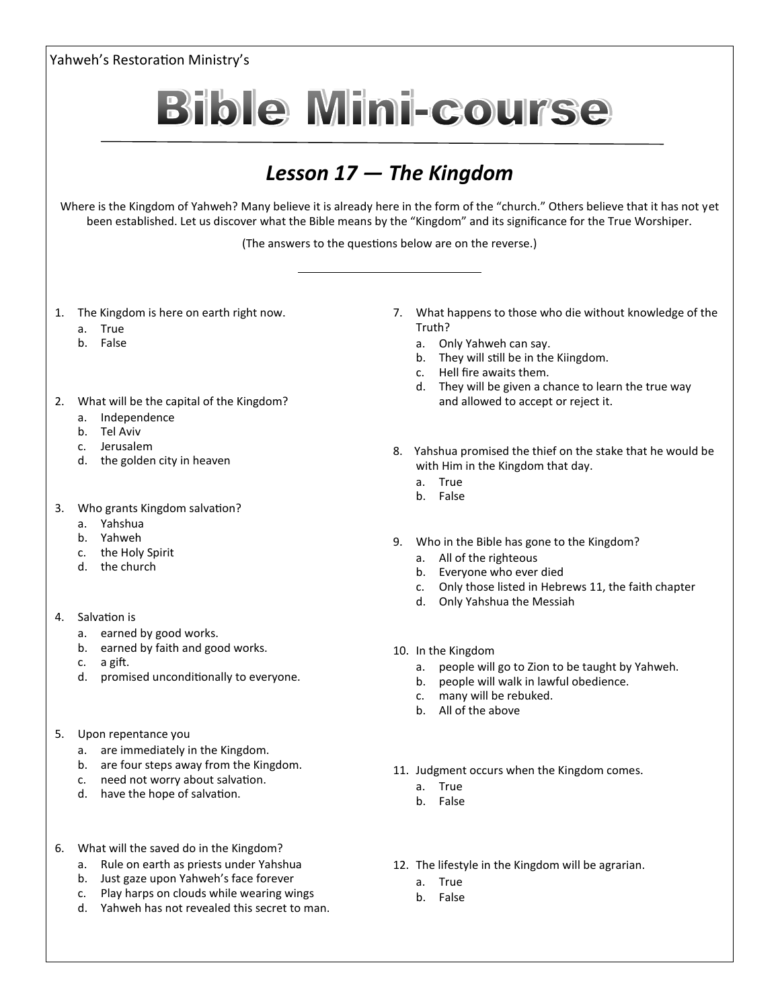Yahweh's Restoration Ministry's **Bible Mini-course** *Lesson 17 — The Kingdom* Where is the Kingdom of Yahweh? Many believe it is already here in the form of the "church." Others believe that it has not yet been established. Let us discover what the Bible means by the "Kingdom" and its significance for the True Worshiper. (The answers to the questions below are on the reverse.) 1. The Kingdom is here on earth right now. 7. What happens to those who die without knowledge of the Truth? a. True b. False a. Only Yahweh can say. b. They will still be in the Kiingdom. c. Hell fire awaits them. d. They will be given a chance to learn the true way 2. What will be the capital of the Kingdom? and allowed to accept or reject it. a. Independence b. Tel Aviv c. Jerusalem 8. Yahshua promised the thief on the stake that he would be d. the golden city in heaven with Him in the Kingdom that day. a. True b. False 3. Who grants Kingdom salvation? a. Yahshua b. Yahweh 9. Who in the Bible has gone to the Kingdom? c. the Holy Spirit a. All of the righteous d. the church b. Everyone who ever died c. Only those listed in Hebrews 11, the faith chapter d. Only Yahshua the Messiah 4. Salvation is a. earned by good works. b. earned by faith and good works. 10. In the Kingdom c. a gift. a. people will go to Zion to be taught by Yahweh. d. promised unconditionally to everyone. b. people will walk in lawful obedience. c. many will be rebuked. b. All of the above 5. Upon repentance you a. are immediately in the Kingdom. b. are four steps away from the Kingdom. 11. Judgment occurs when the Kingdom comes. c. need not worry about salvation. a. True d. have the hope of salvation. b. False 6. What will the saved do in the Kingdom? a. Rule on earth as priests under Yahshua 12. The lifestyle in the Kingdom will be agrarian. b. Just gaze upon Yahweh's face forever a. True

- c. Play harps on clouds while wearing wings
- d. Yahweh has not revealed this secret to man.
- b. False